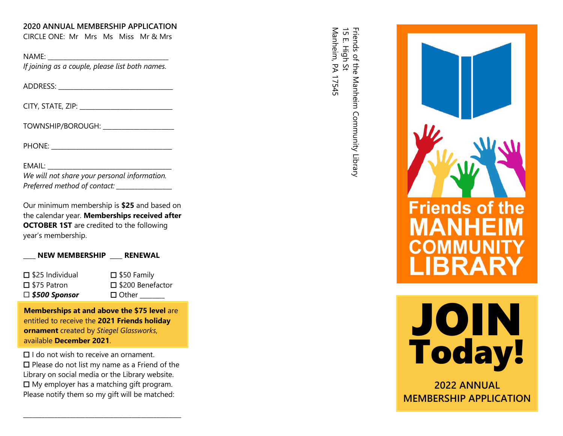### **2020 ANNUAL MEMBERSHIP APPLICATION**

CIRCLE ONE: Mr Mrs Ms Miss Mr & Mrs NAME: \_\_\_\_\_\_\_\_\_\_\_\_\_\_\_\_\_\_\_\_\_\_\_\_\_\_\_\_\_\_\_\_\_\_\_\_\_\_\_

*If joining as a couple, please list both names.*

ADDRESS: \_\_\_\_\_\_\_\_\_\_\_\_\_\_\_\_\_\_\_\_\_\_\_\_\_\_\_\_\_\_\_\_\_\_\_\_\_

CITY, STATE, ZIP: \_\_\_\_\_\_\_\_\_\_\_\_\_\_\_\_\_\_\_\_\_\_\_\_\_\_\_\_\_\_

TOWNSHIP/BOROUGH:

PHONE: \_\_\_\_\_\_\_\_ \_\_\_\_\_\_\_\_\_\_\_\_\_\_\_\_\_\_\_\_\_\_\_\_\_\_\_\_\_\_\_

EMAIL:

| We will not share your personal information. |  |
|----------------------------------------------|--|
| Preferred method of contact:                 |  |

Our minimum membership is **\$2 5** and based on the calendar year . **Memberships received after OCTOBER 1ST** are credited to the following year's membership.

|  | <b>NEW MEMBERSHIP</b> | <b>RENEWAL</b> |
|--|-----------------------|----------------|
|  |                       |                |

| $\square$ \$25 Individual | $\square$ \$50 Family |
|---------------------------|-----------------------|
| $\square$ \$75 Patron     | □ \$200 Benefactor    |
| $\square$ \$500 Sponsor   | $\Box$ Other          |

**Memberships at and above the \$ 75 level** are entitled to receive the **20 2 1 Friends holiday ornament** created by *Stiegel Glassworks*, available **December 20 2 1** .

 $\Box$  I do not wish to receive an ornament.

 $\square$  Please do not list my name as a Friend of the Library on social media or the Library website.  $\Box$  My employer has a matching gift program. Please notify them so my gift will be matched:

\_\_\_\_\_\_\_\_\_\_\_\_\_\_\_\_\_\_\_\_\_\_\_\_\_\_\_\_\_\_\_\_\_\_\_\_\_\_\_\_\_\_\_\_\_\_\_\_\_\_\_

Friends of the l<br>15 E. High St Manheim, PA 17545 Manheim, PA 17545 15 E. High St Friends of the Manheim Community Library Manheim Community Library





**202 2 ANNUAL MEMBERSHIP APPLICATION**